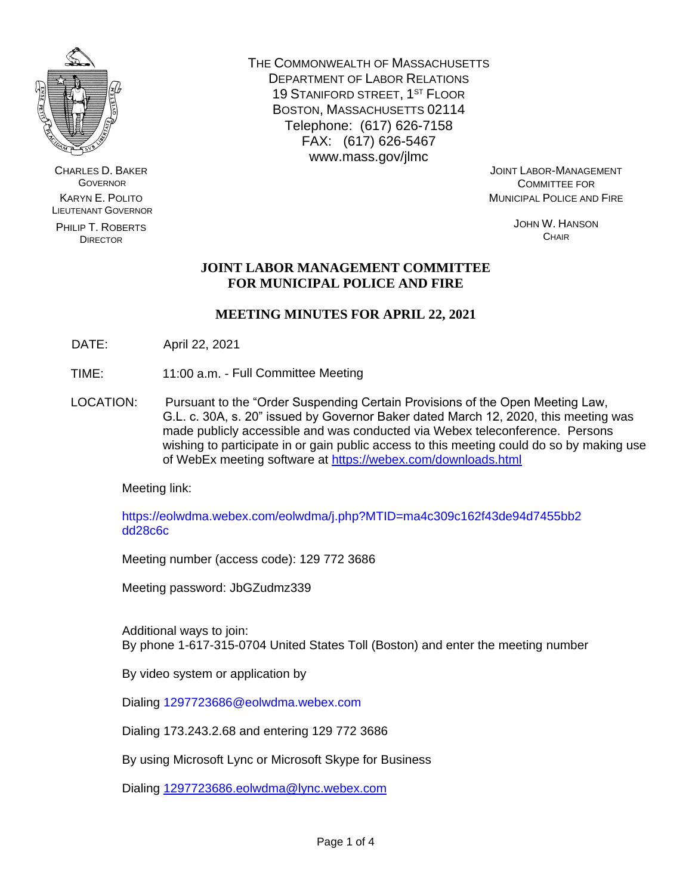

CHARLES D. BAKER **GOVERNOR** KARYN E. POLITO LIEUTENANT GOVERNOR

PHILIP T. ROBERTS DIRECTOR

THE COMMONWEALTH OF MASSACHUSETTS DEPARTMENT OF LABOR RELATIONS 19 STANIFORD STREET, 1ST FLOOR BOSTON, MASSACHUSETTS 02114 Telephone: (617) 626-7158 FAX: (617) 626-5467 www.mass.gov/jlmc

JOINT LABOR-MANAGEMENT COMMITTEE FOR MUNICIPAL POLICE AND FIRE

> JOHN W. HANSON **CHAIR**

# **JOINT LABOR MANAGEMENT COMMITTEE FOR MUNICIPAL POLICE AND FIRE**

# **MEETING MINUTES FOR APRIL 22, 2021**

- DATE: April 22, 2021
- TIME: 11:00 a.m. Full Committee Meeting
- LOCATION: Pursuant to the "Order Suspending Certain Provisions of the Open Meeting Law, G.L. c. 30A, s. 20" issued by Governor Baker dated March 12, 2020, this meeting was made publicly accessible and was conducted via Webex teleconference. Persons wishing to participate in or gain public access to this meeting could do so by making use of WebEx meeting software at<https://webex.com/downloads.html>

Meeting link:

https://eolwdma.webex.com/eolwdma/j.php?MTID=ma4c309c162f43de94d7455bb2 dd28c6c

Meeting number (access code): 129 772 3686

Meeting password: JbGZudmz339

Additional ways to join: By phone 1-617-315-0704 United States Toll (Boston) and enter the meeting number

By video system or application by

Dialing 1297723686@eolwdma.webex.com

Dialing 173.243.2.68 and entering 129 772 3686

By using Microsoft Lync or Microsoft Skype for Business

Dialing [1297723686.eolwdma@lync.webex.com](mailto:1297723686.eolwdma@lync.webex.com)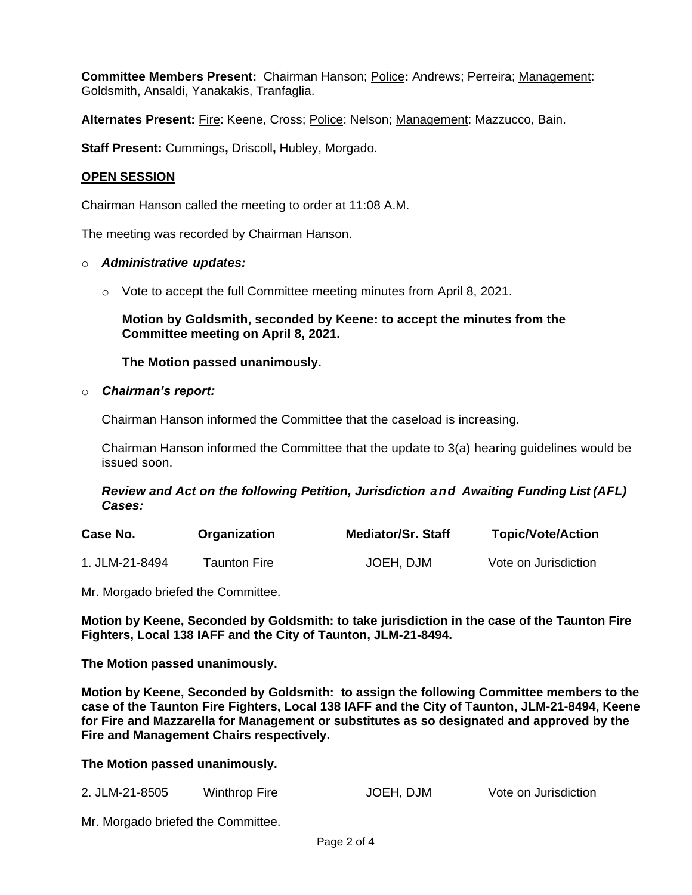**Committee Members Present:** Chairman Hanson; Police**:** Andrews; Perreira; Management: Goldsmith, Ansaldi, Yanakakis, Tranfaglia.

**Alternates Present:** Fire: Keene, Cross; Police: Nelson; Management: Mazzucco, Bain.

**Staff Present:** Cummings**,** Driscoll**,** Hubley, Morgado.

## **OPEN SESSION**

Chairman Hanson called the meeting to order at 11:08 A.M.

The meeting was recorded by Chairman Hanson.

#### o *Administrative updates:*

 $\circ$  Vote to accept the full Committee meeting minutes from April 8, 2021.

**Motion by Goldsmith, seconded by Keene: to accept the minutes from the Committee meeting on April 8, 2021.**

### **The Motion passed unanimously.**

#### o *Chairman's report:*

Chairman Hanson informed the Committee that the caseload is increasing.

Chairman Hanson informed the Committee that the update to 3(a) hearing guidelines would be issued soon.

### *Review and Act on the following Petition, Jurisdiction and Awaiting Funding List (AFL) Cases:*

| Case No.       | Organization | <b>Mediator/Sr. Staff</b> | <b>Topic/Vote/Action</b> |
|----------------|--------------|---------------------------|--------------------------|
| 1. JLM-21-8494 | Taunton Fire | JOEH, DJM                 | Vote on Jurisdiction     |

Mr. Morgado briefed the Committee.

**Motion by Keene, Seconded by Goldsmith: to take jurisdiction in the case of the Taunton Fire Fighters, Local 138 IAFF and the City of Taunton, JLM-21-8494.** 

**The Motion passed unanimously.**

**Motion by Keene, Seconded by Goldsmith: to assign the following Committee members to the case of the Taunton Fire Fighters, Local 138 IAFF and the City of Taunton, JLM-21-8494, Keene for Fire and Mazzarella for Management or substitutes as so designated and approved by the Fire and Management Chairs respectively.**

### **The Motion passed unanimously.**

| 2. JLM-21-8505 | Winthrop Fire | JOEH, DJM | Vote on Jurisdiction |
|----------------|---------------|-----------|----------------------|
|----------------|---------------|-----------|----------------------|

Mr. Morgado briefed the Committee.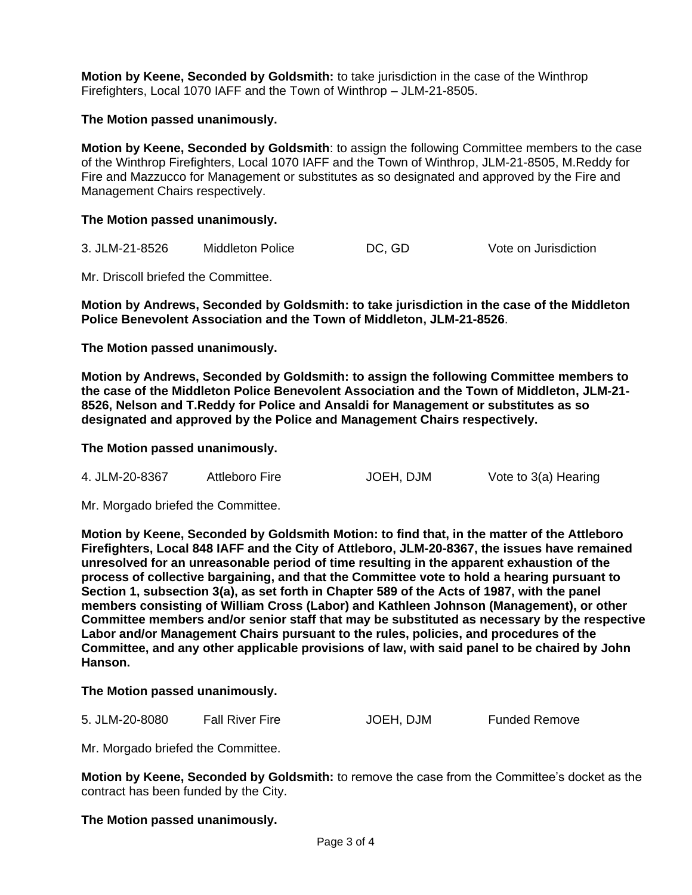**Motion by Keene, Seconded by Goldsmith:** to take jurisdiction in the case of the Winthrop Firefighters, Local 1070 IAFF and the Town of Winthrop – JLM-21-8505.

**The Motion passed unanimously.**

**Motion by Keene, Seconded by Goldsmith**: to assign the following Committee members to the case of the Winthrop Firefighters, Local 1070 IAFF and the Town of Winthrop, JLM-21-8505, M.Reddy for Fire and Mazzucco for Management or substitutes as so designated and approved by the Fire and Management Chairs respectively.

**The Motion passed unanimously.**

3. JLM-21-8526 Middleton Police DC, GD Vote on Jurisdiction

Mr. Driscoll briefed the Committee.

**Motion by Andrews, Seconded by Goldsmith: to take jurisdiction in the case of the Middleton Police Benevolent Association and the Town of Middleton, JLM-21-8526**.

**The Motion passed unanimously.**

**Motion by Andrews, Seconded by Goldsmith: to assign the following Committee members to the case of the Middleton Police Benevolent Association and the Town of Middleton, JLM-21- 8526, Nelson and T.Reddy for Police and Ansaldi for Management or substitutes as so designated and approved by the Police and Management Chairs respectively.**

**The Motion passed unanimously.**

4. JLM-20-8367 Attleboro Fire JOEH, DJM Vote to 3(a) Hearing

Mr. Morgado briefed the Committee.

**Motion by Keene, Seconded by Goldsmith Motion: to find that, in the matter of the Attleboro Firefighters, Local 848 IAFF and the City of Attleboro, JLM-20-8367, the issues have remained unresolved for an unreasonable period of time resulting in the apparent exhaustion of the process of collective bargaining, and that the Committee vote to hold a hearing pursuant to Section 1, subsection 3(a), as set forth in Chapter 589 of the Acts of 1987, with the panel members consisting of William Cross (Labor) and Kathleen Johnson (Management), or other Committee members and/or senior staff that may be substituted as necessary by the respective Labor and/or Management Chairs pursuant to the rules, policies, and procedures of the Committee, and any other applicable provisions of law, with said panel to be chaired by John Hanson.**

#### **The Motion passed unanimously.**

5. JLM-20-8080 Fall River Fire JOEH, DJM Funded Remove

Mr. Morgado briefed the Committee.

**Motion by Keene, Seconded by Goldsmith:** to remove the case from the Committee's docket as the contract has been funded by the City.

#### **The Motion passed unanimously.**